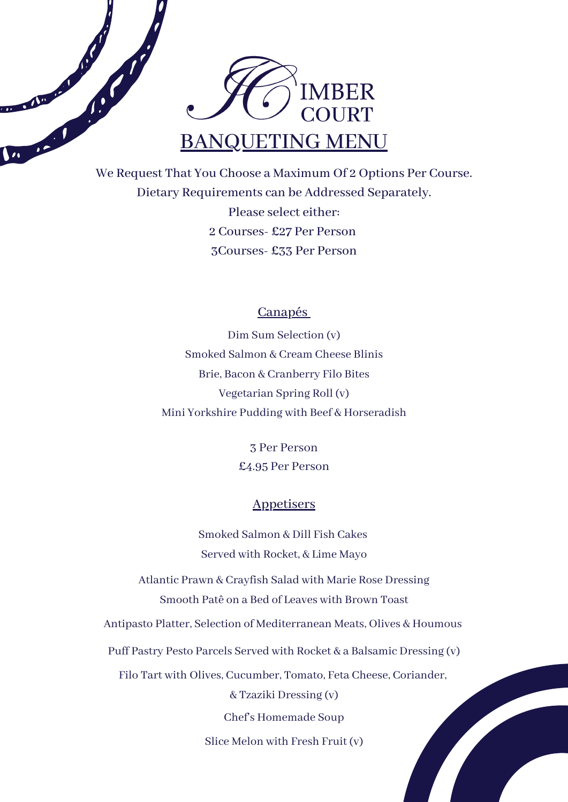

Barbara Barbara

COLLEGE DE L'AVENUE

We Request That You Choose a Maximum Of 2 Options Per Course. Dietary Requirements can be Addressed Separately. Please select either: 2 Courses- £27 Per Person 3Courses- £33 Per Person

### Canapés

Dim Sum Selection (v) Smoked Salmon & Cream Cheese Blinis Brie, Bacon & Cranberry Filo Bites Vegetarian Spring Roll (v) Mini Yorkshire Pudding with Beef & Horseradish

> 3 Per Person £4.95 Per Person

### **Appetisers**

Smoked Salmon & Dill Fish Cakes Served with Rocket, & Lime Mayo

Atlantic Prawn & Crayfish Salad with Marie Rose Dressing Smooth Patê on a Bed of Leaves with Brown Toast

Antipasto Platter, Selection of Mediterranean Meats, Olives & Houmous

Puff Pastry Pesto Parcels Served with Rocket & a Balsamic Dressing (v)

Filo Tart with Olives, Cucumber, Tomato, Feta Cheese, Coriander,

& Tzaziki Dressing (v)

Chef's Homemade Soup

Slice Melon with Fresh Fruit (v)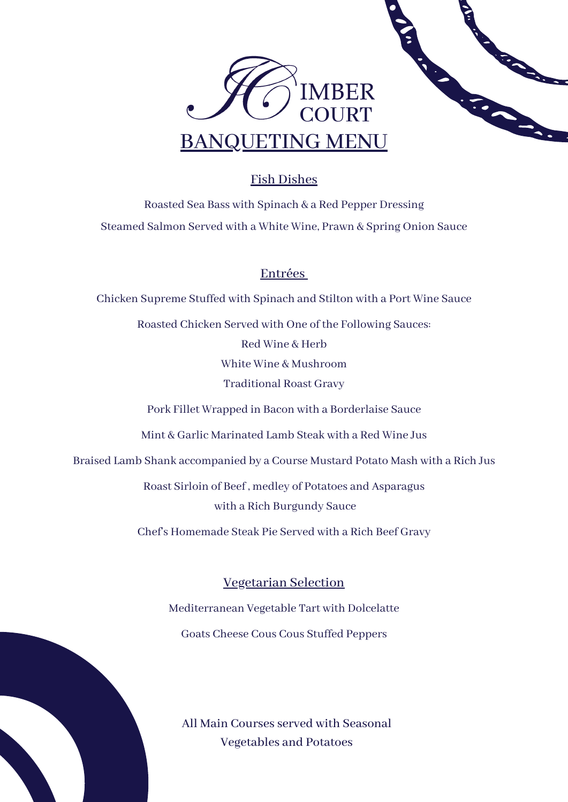

# Fish Dishes

Roasted Sea Bass with Spinach & a Red Pepper Dressing Steamed Salmon Served with a White Wine, Prawn & Spring Onion Sauce

## Entrées

Chicken Supreme Stuffed with Spinach and Stilton with a Port Wine Sauce Roasted Chicken Served with One of the Following Sauces: Red Wine & Herb White Wine & Mushroom Traditional Roast Gravy Pork Fillet Wrapped in Bacon with a Borderlaise Sauce Mint & Garlic Marinated Lamb Steak with a Red Wine Jus Braised Lamb Shank accompanied by a Course Mustard Potato Mash with a Rich Jus Roast Sirloin of Beef , medley of Potatoes and Asparagus with a Rich Burgundy Sauce

Chef's Homemade Steak Pie Served with a Rich Beef Gravy

Vegetarian Selection Mediterranean Vegetable Tart with Dolcelatte Goats Cheese Cous Cous Stuffed Peppers

All Main Courses served with Seasonal Vegetables and Potatoes